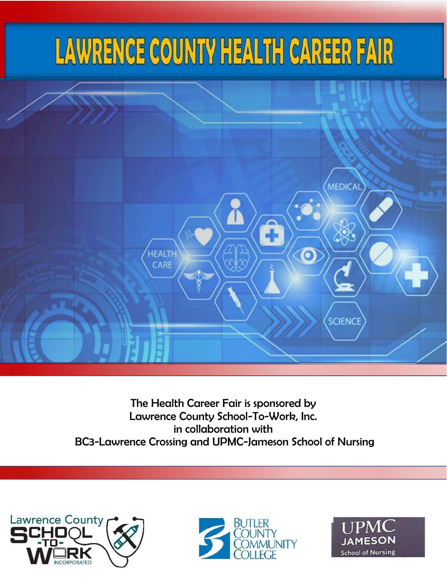# LAWRENCE COUNTY HEALTH CAREER FAIR



The Health Career Fair is sponsored by Lawrence County School-To-Work, Inc. in collaboration with BC3-Lawrence Crossing and UPMC-Jameson School of Nursing





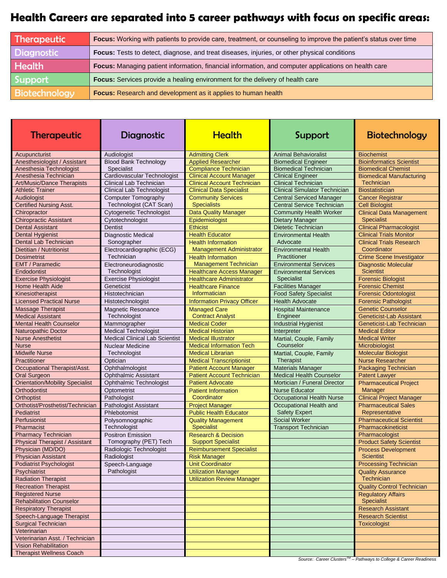## **Health Careers are separated into 5 career pathways with focus on specific areas:**

| Therapeutic          | Focus: Working with patients to provide care, treatment, or counseling to improve the patient's status over time |
|----------------------|------------------------------------------------------------------------------------------------------------------|
| Diagnostic           | Focus: Tests to detect, diagnose, and treat diseases, injuries, or other physical conditions                     |
| <b>Health</b>        | Focus: Managing patient information, financial information, and computer applications on health care             |
| Support              | Focus: Services provide a healing environment for the delivery of health care                                    |
| <b>Biotechnology</b> | Focus: Research and development as it applies to human health                                                    |

| <b>Therapeutic</b>                     | Diagnostic                            | <b>Health</b>                      | Support                              | <b>Biotechnology</b>              |
|----------------------------------------|---------------------------------------|------------------------------------|--------------------------------------|-----------------------------------|
| Acupuncturist                          | Audiologist                           | <b>Admitting Clerk</b>             | <b>Animal Behavioralist</b>          | <b>Biochemist</b>                 |
| Anesthesiologist / Assistant           | <b>Blood Bank Technology</b>          | <b>Applied Researcher</b>          | <b>Biomedical Engineer</b>           | <b>Bioinformatics Scientist</b>   |
| Anesthesia Technologist                | Specialist                            | <b>Compliance Technician</b>       | <b>Biomedical Technician</b>         | <b>Biomedical Chemist</b>         |
| Anesthesia Technician                  | Cardiovascular Technologist           | <b>Clinical Account Manager</b>    | <b>Clinical Engineer</b>             | <b>Biomedical Manufacturing</b>   |
| <b>Art/Music/Dance Therapists</b>      | Clinical Lab Technician               | <b>Clinical Account Technician</b> | <b>Clinical Technician</b>           | Technician                        |
| <b>Athletic Trainer</b>                | <b>Clinical Lab Technologist</b>      | <b>Clinical Data Specialist</b>    | <b>Clinical Simulator Technician</b> | <b>Biostatistician</b>            |
| Audiologist                            | <b>Computer Tomography</b>            | <b>Community Services</b>          | <b>Central Serviced Manager</b>      | <b>Cancer Registrar</b>           |
| <b>Certified Nursing Asst.</b>         | Technologist (CAT Scan)               | <b>Specialists</b>                 | <b>Central Service Technician</b>    | <b>Cell Biologist</b>             |
| Chiropractor                           | <b>Cytogenetic Technologist</b>       | <b>Data Quality Manager</b>        | <b>Community Health Worker</b>       | <b>Clinical Data Management</b>   |
| <b>Chiropractic Assistant</b>          | Cytotechnologist                      | Epidemiologist                     | <b>Dietary Manager</b>               | <b>Specialist</b>                 |
| <b>Dental Assistant</b>                | <b>Dentist</b>                        | Ethicist                           | <b>Dietetic Technician</b>           | <b>Clinical Pharmacologist</b>    |
| <b>Dental Hygienist</b>                | <b>Diagnostic Medical</b>             | <b>Health Educator</b>             | <b>Environmental Health</b>          | <b>Clinical Trials Monitor</b>    |
| Dental Lab Technician                  | Sonographer                           | <b>Health Information</b>          | Advocate                             | <b>Clinical Trials Research</b>   |
| Dietitian / Nutritionist               | Electrocardiographic (ECG)            | <b>Management Administrator</b>    | <b>Environmental Health</b>          | Coordinator                       |
| <b>Dosimetrist</b>                     | Technician                            | <b>Health Information</b>          | Practitioner                         | <b>Crime Scene Investigator</b>   |
| EMT / Paramedic                        | Electroneurodiagnostic                | <b>Management Technician</b>       | <b>Environmental Services</b>        | <b>Diagnostic Molecular</b>       |
| Endodontist                            | Technologist                          | <b>Healthcare Access Manager</b>   | <b>Environmental Services</b>        | <b>Scientist</b>                  |
| <b>Exercise Physiologist</b>           | <b>Exercise Physiologist</b>          | <b>Healthcare Administrator</b>    | <b>Specialist</b>                    | <b>Forensic Biologist</b>         |
| <b>Home Health Aide</b>                | Geneticist                            | <b>Healthcare Finance</b>          | <b>Facilities Manager</b>            | <b>Forensic Chemist</b>           |
| Kinesiotherapist                       | Histotechnician                       | Informatician                      | <b>Food Safety Specialist</b>        | <b>Forensic Odontologist</b>      |
| <b>Licensed Practical Nurse</b>        | Histotechnologist                     | <b>Information Privacy Officer</b> | <b>Health Advocate</b>               | <b>Forensic Pathologist</b>       |
| <b>Massage Therapist</b>               | <b>Magnetic Resonance</b>             | <b>Managed Care</b>                | <b>Hospital Maintenance</b>          | <b>Genetic Counselor</b>          |
| <b>Medical Assistant</b>               | Technologist                          | <b>Contract Analyst</b>            | Engineer                             | <b>Geneticist-Lab Assistant</b>   |
| <b>Mental Health Counselor</b>         | Mammographer                          | <b>Medical Coder</b>               | <b>Industrial Hygienist</b>          | Geneticist-Lab Technician         |
| <b>Naturopathic Doctor</b>             | <b>Medical Technologist</b>           | <b>Medical Historian</b>           | Interpreter                          | <b>Medical Editor</b>             |
| <b>Nurse Anesthetist</b>               | <b>Medical Clinical Lab Scientist</b> | <b>Medical Illustrator</b>         | Martial, Couple, Family              | <b>Medical Writer</b>             |
| <b>Nurse</b>                           | <b>Nuclear Medicine</b>               | <b>Medical Information Tech</b>    | Counselor                            | Microbiologist                    |
| <b>Midwife Nurse</b>                   | Technologist                          | <b>Medical Librarian</b>           | Martial, Couple, Family              | <b>Molecular Biologist</b>        |
| Practitioner                           | Optician                              | <b>Medical Transcriptionist</b>    | Therapist                            | <b>Nurse Researcher</b>           |
| Occupational Therapist/Asst.           | Ophthalmologist                       | <b>Patient Account Manager</b>     | <b>Materials Manager</b>             | <b>Packaging Technician</b>       |
| <b>Oral Surgeon</b>                    | <b>Ophthalmic Assistant</b>           | <b>Patient Account Technician</b>  | <b>Medical Health Counselor</b>      | <b>Patent Lawyer</b>              |
| <b>Orientation/Mobility Specialist</b> | Ophthalmic Technologist               | <b>Patient Advocate</b>            | Mortician / Funeral Director         | <b>Pharmaceutical Project</b>     |
| Orthodontist                           | Optometrist                           | <b>Patient Information</b>         | <b>Nurse Educator</b>                | Manager                           |
| Orthoptist                             | Pathologist                           | Coordinator                        | <b>Occupational Health Nurse</b>     | <b>Clinical Project Manager</b>   |
| Orthotist/Prosthetist/Technician       | <b>Pathologist Assistant</b>          | <b>Project Manager</b>             | Occupational Health and              | <b>Pharmaceutical Sales</b>       |
| Pediatrist                             | Phlebotomist                          | <b>Public Health Educator</b>      | <b>Safety Expert</b>                 | Representative                    |
| Perfusionist                           | Polysomnographic                      | <b>Quality Management</b>          | <b>Social Worker</b>                 | <b>Pharmaceutical Scientist</b>   |
| Pharmacist                             | Technologist                          | <b>Specialist</b>                  | <b>Transport Technician</b>          | Pharmacokineticist                |
| <b>Pharmacy Technician</b>             | <b>Positron Emission</b>              | <b>Research &amp; Decision</b>     |                                      | Pharmacologist                    |
| <b>Physical Therapist / Assistant</b>  | Tomography (PET) Tech                 | <b>Support Specialist</b>          |                                      | <b>Product Safety Scientist</b>   |
| Physician (MD/DO)                      | Radiologic Technologist               | <b>Reimbursement Specialist</b>    |                                      | <b>Process Development</b>        |
| <b>Physician Assistant</b>             | Radiologist                           | <b>Risk Manager</b>                |                                      | <b>Scientist</b>                  |
| <b>Podiatrist Psychologist</b>         | Speech-Language                       | <b>Unit Coordinator</b>            |                                      | <b>Processing Technician</b>      |
| Psychiatrist                           | Pathologist                           | <b>Utilization Manager</b>         |                                      | <b>Quality Assurance</b>          |
| <b>Radiation Therapist</b>             |                                       | <b>Utilization Review Manager</b>  |                                      | Technician                        |
| <b>Recreation Therapist</b>            |                                       |                                    |                                      | <b>Quality Control Technician</b> |
| <b>Registered Nurse</b>                |                                       |                                    |                                      | <b>Regulatory Affairs</b>         |
| <b>Rehabilitation Counselor</b>        |                                       |                                    |                                      | <b>Specialist</b>                 |
| <b>Respiratory Therapist</b>           |                                       |                                    |                                      | <b>Research Assistant</b>         |
| Speech-Language Therapist              |                                       |                                    |                                      | <b>Research Scientist</b>         |
| <b>Surgical Technician</b>             |                                       |                                    |                                      | <b>Toxicologist</b>               |
| Veterinarian                           |                                       |                                    |                                      |                                   |
| Veterinarian Asst. / Technician        |                                       |                                    |                                      |                                   |
| <b>Vision Rehabilitation</b>           |                                       |                                    |                                      |                                   |
| <b>Therapist Wellness Coach</b>        |                                       |                                    |                                      |                                   |
|                                        |                                       |                                    |                                      |                                   |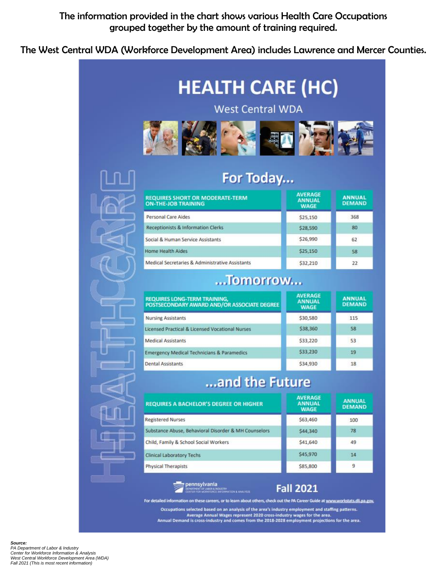#### The information provided in the chart shows various Health Care Occupations grouped together by the amount of training required.

The West Central WDA (Workforce Development Area) includes Lawrence and Mercer Counties.



Average Annual Wages represent 2020 cross-industry wages for the area.<br>Annual Demand is cross-industry and comes from the 2018-2028 employment projections for the area.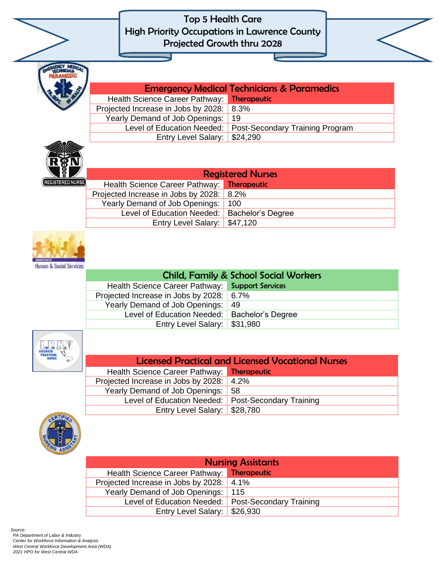

| <b>Emergency Medical Technicians &amp; Paramedics</b> |                                                              |
|-------------------------------------------------------|--------------------------------------------------------------|
| Health Science Career Pathway: Therapeutic            |                                                              |
| Projected Increase in Jobs by 2028: 8.3%              |                                                              |
| Yearly Demand of Job Openings: 19                     |                                                              |
|                                                       | Level of Education Needed:   Post-Secondary Training Program |
| Entry Level Salary:   \$24,290                        |                                                              |



| <b>Registered Nurses</b>                 |                                            |                                                |
|------------------------------------------|--------------------------------------------|------------------------------------------------|
|                                          | Health Science Career Pathway: Therapeutic |                                                |
| Projected Increase in Jobs by 2028: 8.2% |                                            |                                                |
|                                          | Yearly Demand of Job Openings: 100         |                                                |
|                                          |                                            | Level of Education Needed:   Bachelor's Degree |
|                                          | Entry Level Salary:   \$47,120             |                                                |



| <b>Child, Family &amp; School Social Workers</b> |  |  |
|--------------------------------------------------|--|--|
| Health Science Career Pathway: Support Services  |  |  |
| Projected Increase in Jobs by 2028:   6.7%       |  |  |
| Yearly Demand of Job Openings:   49              |  |  |
| Level of Education Needed:   Bachelor's Degree   |  |  |
| Entry Level Salary: \$31,980                     |  |  |



| <b>Licensed Practical and Licensed Vocational Nurses</b> |  |  |
|----------------------------------------------------------|--|--|
| Health Science Career Pathway: Therapeutic               |  |  |
| Projected Increase in Jobs by 2028: 4.2%                 |  |  |
| Yearly Demand of Job Openings: 58                        |  |  |
| Level of Education Needed: Post-Secondary Training       |  |  |
| Entry Level Salary: \$28,780                             |  |  |



| <b>Nursing Assistants</b>                          |  |  |  |
|----------------------------------------------------|--|--|--|
| Health Science Career Pathway: Therapeutic         |  |  |  |
| Projected Increase in Jobs by 2028:   4.1%         |  |  |  |
| Yearly Demand of Job Openings: 115                 |  |  |  |
| Level of Education Needed: Post-Secondary Training |  |  |  |
| Entry Level Salary: \$26,930                       |  |  |  |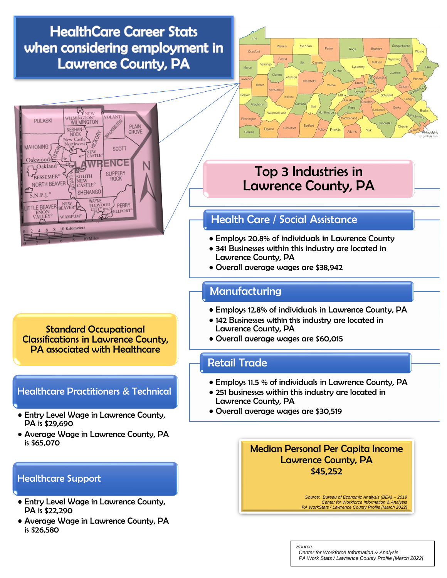# **HealthCare Career Stats** when considering employment in **Lawrence County, PA**



Standard Occupational Classifications in Lawrence County, PA associated with Healthcare

#### Healthcare Practitioners & Technical

- Entry Level Wage in Lawrence County, PA is \$29,690
- Average Wage in Lawrence County, PA is \$65,070

#### Healthcare Support

- Entry Level Wage in Lawrence County, PA is \$22,290
- Average Wage in Lawrence County, PA is \$26,580



## Top 3 Industries in Lawrence County, PA

#### Health Care / Social Assistance

- Employs 20.8% of individuals in Lawrence County
- 341 Businesses within this industry are located in Lawrence County, PA
- Overall average wages are \$38,942

#### **Manufacturing**

- Employs 12.8% of individuals in Lawrence County, PA
- 142 Businesses within this industry are located in Lawrence County, PA
- Overall average wages are \$60,015

#### Retail Trade

- Employs 11.5 % of individuals in Lawrence County, PA
- 251 businesses within this industry are located in Lawrence County, PA

*Source:*

• Overall average wages are \$30,519

Median Personal Per Capita Income Lawrence County, PA \$45,252

> *Source: Bureau of Economic Analysis (BEA) – 2019 Center for Workforce Information & Analysis PA WorkStats / Lawrence County Profile [March 2022]*

 *Center for Workforce Information & Analysis PA Work Stats / Lawrence County Profile [March 2022]*